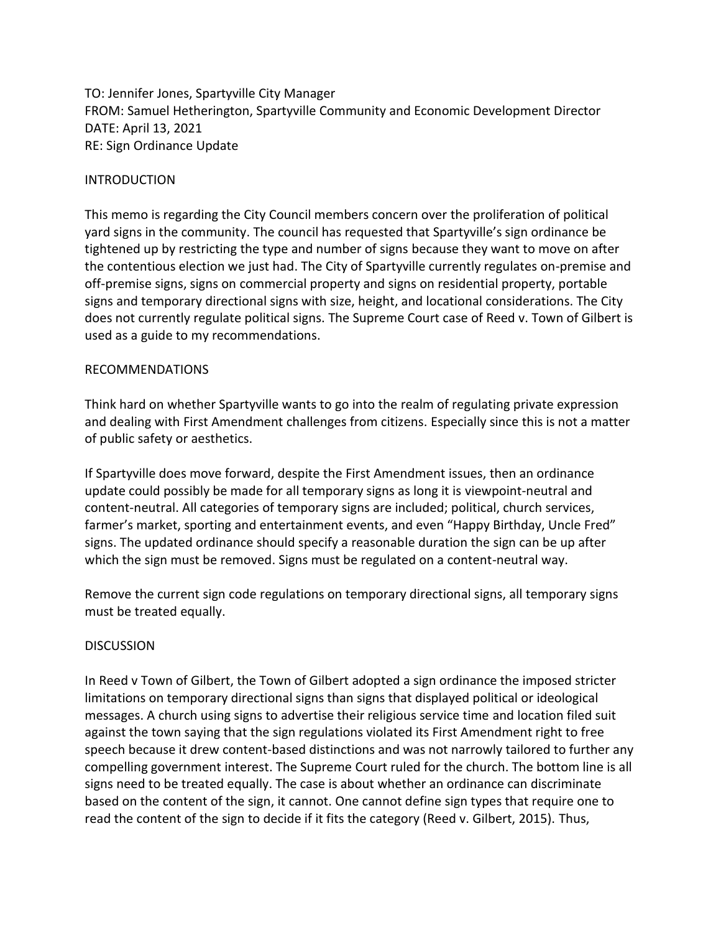TO: Jennifer Jones, Spartyville City Manager FROM: Samuel Hetherington, Spartyville Community and Economic Development Director DATE: April 13, 2021 RE: Sign Ordinance Update

## INTRODUCTION

This memo is regarding the City Council members concern over the proliferation of political yard signs in the community. The council has requested that Spartyville's sign ordinance be tightened up by restricting the type and number of signs because they want to move on after the contentious election we just had. The City of Spartyville currently regulates on-premise and off-premise signs, signs on commercial property and signs on residential property, portable signs and temporary directional signs with size, height, and locational considerations. The City does not currently regulate political signs. The Supreme Court case of Reed v. Town of Gilbert is used as a guide to my recommendations.

# RECOMMENDATIONS

Think hard on whether Spartyville wants to go into the realm of regulating private expression and dealing with First Amendment challenges from citizens. Especially since this is not a matter of public safety or aesthetics.

If Spartyville does move forward, despite the First Amendment issues, then an ordinance update could possibly be made for all temporary signs as long it is viewpoint-neutral and content-neutral. All categories of temporary signs are included; political, church services, farmer's market, sporting and entertainment events, and even "Happy Birthday, Uncle Fred" signs. The updated ordinance should specify a reasonable duration the sign can be up after which the sign must be removed. Signs must be regulated on a content-neutral way.

Remove the current sign code regulations on temporary directional signs, all temporary signs must be treated equally.

### **DISCUSSION**

In Reed v Town of Gilbert, the Town of Gilbert adopted a sign ordinance the imposed stricter limitations on temporary directional signs than signs that displayed political or ideological messages. A church using signs to advertise their religious service time and location filed suit against the town saying that the sign regulations violated its First Amendment right to free speech because it drew content-based distinctions and was not narrowly tailored to further any compelling government interest. The Supreme Court ruled for the church. The bottom line is all signs need to be treated equally. The case is about whether an ordinance can discriminate based on the content of the sign, it cannot. One cannot define sign types that require one to read the content of the sign to decide if it fits the category (Reed v. Gilbert, 2015). Thus,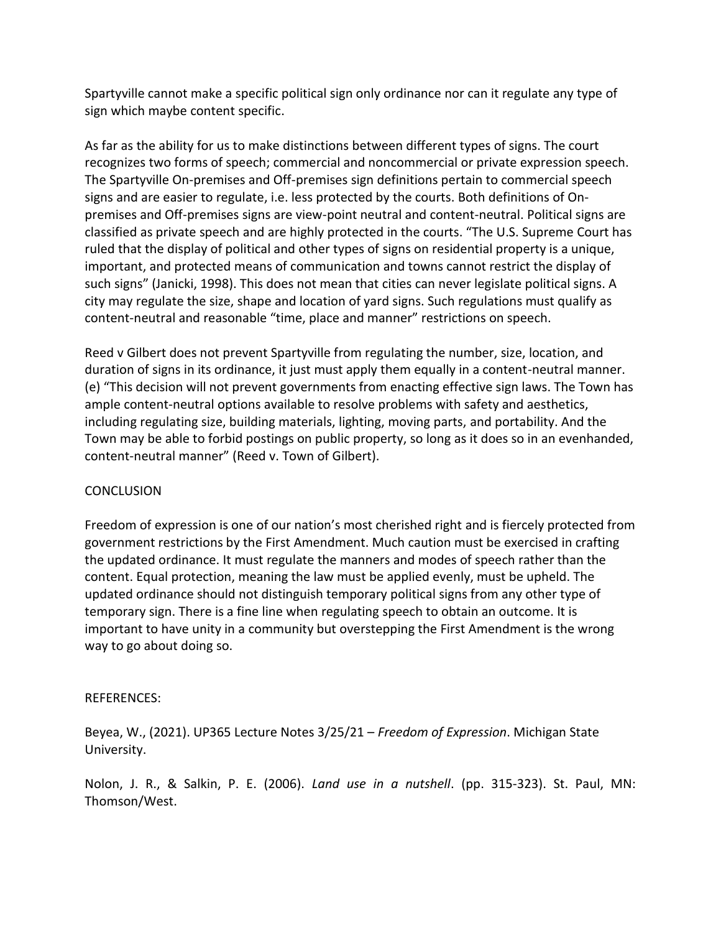Spartyville cannot make a specific political sign only ordinance nor can it regulate any type of sign which maybe content specific.

As far as the ability for us to make distinctions between different types of signs. The court recognizes two forms of speech; commercial and noncommercial or private expression speech. The Spartyville On-premises and Off-premises sign definitions pertain to commercial speech signs and are easier to regulate, i.e. less protected by the courts. Both definitions of Onpremises and Off-premises signs are view-point neutral and content-neutral. Political signs are classified as private speech and are highly protected in the courts. "The U.S. Supreme Court has ruled that the display of political and other types of signs on residential property is a unique, important, and protected means of communication and towns cannot restrict the display of such signs" (Janicki, 1998). This does not mean that cities can never legislate political signs. A city may regulate the size, shape and location of yard signs. Such regulations must qualify as content-neutral and reasonable "time, place and manner" restrictions on speech.

Reed v Gilbert does not prevent Spartyville from regulating the number, size, location, and duration of signs in its ordinance, it just must apply them equally in a content-neutral manner. (e) "This decision will not prevent governments from enacting effective sign laws. The Town has ample content-neutral options available to resolve problems with safety and aesthetics, including regulating size, building materials, lighting, moving parts, and portability. And the Town may be able to forbid postings on public property, so long as it does so in an evenhanded, content-neutral manner" (Reed v. Town of Gilbert).

# **CONCLUSION**

Freedom of expression is one of our nation's most cherished right and is fiercely protected from government restrictions by the First Amendment. Much caution must be exercised in crafting the updated ordinance. It must regulate the manners and modes of speech rather than the content. Equal protection, meaning the law must be applied evenly, must be upheld. The updated ordinance should not distinguish temporary political signs from any other type of temporary sign. There is a fine line when regulating speech to obtain an outcome. It is important to have unity in a community but overstepping the First Amendment is the wrong way to go about doing so.

# REFERENCES:

Beyea, W., (2021). UP365 Lecture Notes 3/25/21 – *Freedom of Expression*. Michigan State University.

Nolon, J. R., & Salkin, P. E. (2006). *Land use in a nutshell*. (pp. 315-323). St. Paul, MN: Thomson/West.